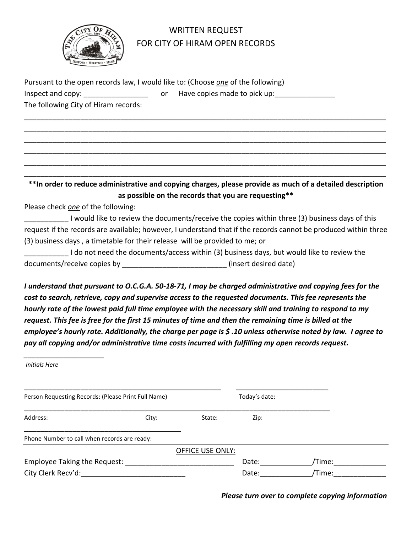

## WRITTEN REQUEST FOR CITY OF HIRAM OPEN RECORDS

| Pursuant to the open records law, I would like to: (Choose one of the following) |     |                              |  |  |
|----------------------------------------------------------------------------------|-----|------------------------------|--|--|
| Inspect and copy:                                                                | .or | Have copies made to pick up: |  |  |
| The following City of Hiram records:                                             |     |                              |  |  |

**\*\*In order to reduce administrative and copying charges, please provide as much of a detailed description as possible on the records that you are requesting\*\***

\_\_\_\_\_\_\_\_\_\_\_\_\_\_\_\_\_\_\_\_\_\_\_\_\_\_\_\_\_\_\_\_\_\_\_\_\_\_\_\_\_\_\_\_\_\_\_\_\_\_\_\_\_\_\_\_\_\_\_\_\_\_\_\_\_\_\_\_\_\_\_\_\_\_\_\_\_\_\_\_\_\_\_\_\_\_\_\_\_\_ \_\_\_\_\_\_\_\_\_\_\_\_\_\_\_\_\_\_\_\_\_\_\_\_\_\_\_\_\_\_\_\_\_\_\_\_\_\_\_\_\_\_\_\_\_\_\_\_\_\_\_\_\_\_\_\_\_\_\_\_\_\_\_\_\_\_\_\_\_\_\_\_\_\_\_\_\_\_\_\_\_\_\_\_\_\_\_\_\_\_ \_\_\_\_\_\_\_\_\_\_\_\_\_\_\_\_\_\_\_\_\_\_\_\_\_\_\_\_\_\_\_\_\_\_\_\_\_\_\_\_\_\_\_\_\_\_\_\_\_\_\_\_\_\_\_\_\_\_\_\_\_\_\_\_\_\_\_\_\_\_\_\_\_\_\_\_\_\_\_\_\_\_\_\_\_\_\_\_\_\_ \_\_\_\_\_\_\_\_\_\_\_\_\_\_\_\_\_\_\_\_\_\_\_\_\_\_\_\_\_\_\_\_\_\_\_\_\_\_\_\_\_\_\_\_\_\_\_\_\_\_\_\_\_\_\_\_\_\_\_\_\_\_\_\_\_\_\_\_\_\_\_\_\_\_\_\_\_\_\_\_\_\_\_\_\_\_\_\_\_\_ \_\_\_\_\_\_\_\_\_\_\_\_\_\_\_\_\_\_\_\_\_\_\_\_\_\_\_\_\_\_\_\_\_\_\_\_\_\_\_\_\_\_\_\_\_\_\_\_\_\_\_\_\_\_\_\_\_\_\_\_\_\_\_\_\_\_\_\_\_\_\_\_\_\_\_\_\_\_\_\_\_\_\_\_\_\_\_\_\_\_ \_\_\_\_\_\_\_\_\_\_\_\_\_\_\_\_\_\_\_\_\_\_\_\_\_\_\_\_\_\_\_\_\_\_\_\_\_\_\_\_\_\_\_\_\_\_\_\_\_\_\_\_\_\_\_\_\_\_\_\_\_\_\_\_\_\_\_\_\_\_\_\_\_\_\_\_\_\_\_\_\_\_\_\_\_\_\_\_\_\_

Please check *one* of the following:

\_\_\_\_\_\_\_\_\_\_\_ I would like to review the documents/receive the copies within three (3) business days of this request if the records are available; however, I understand that if the records cannot be produced within three (3) business days , a timetable for their release will be provided to me; or

I do not need the documents/access within (3) business days, but would like to review the documents/receive copies by \_\_\_\_\_\_\_\_\_\_\_\_\_\_\_\_\_\_\_\_\_\_\_\_\_\_ (insert desired date)

*I understand that pursuant to O.C.G.A. 50-18-71, I may be charged administrative and copying fees for the cost to search, retrieve, copy and supervise access to the requested documents. This fee represents the hourly rate of the lowest paid full time employee with the necessary skill and training to respond to my request. This fee is free for the first 15 minutes of time and then the remaining time is billed at the employee's hourly rate. Additionally, the charge per page is \$ .10 unless otherwise noted by law. I agree to pay all copying and/or administrative time costs incurred with fulfilling my open records request.* 

*Initials Here*

*\_\_\_\_\_\_\_\_\_\_\_\_\_\_\_\_\_\_\_\_*

| Person Requesting Records: (Please Print Full Name) |       |                         | Today's date: |        |
|-----------------------------------------------------|-------|-------------------------|---------------|--------|
|                                                     |       |                         |               |        |
| Address:                                            | City: | State:                  | Zip:          |        |
| Phone Number to call when records are ready:        |       |                         |               |        |
|                                                     |       | <b>OFFICE USE ONLY:</b> |               |        |
| Employee Taking the Request:                        |       |                         | Date:         | Time:  |
| City Clerk Recv'd:                                  |       |                         | Date:         | /Time: |

 *Please turn over to complete copying information*